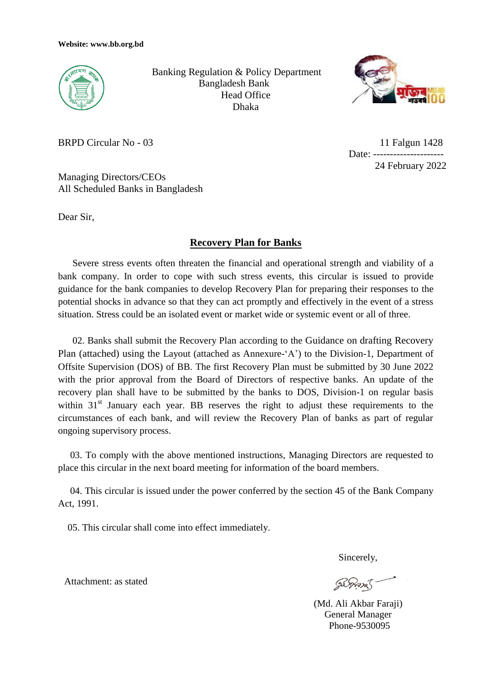

 Banking Regulation & Policy Department Bangladesh Bank Head Office Dhaka



BRPD Circular No - 03

 11 Falgun 1428 Date: ----------------------24 February 2022

Managing Directors/CEOs All Scheduled Banks in Bangladesh

Dear Sir,

## **Recovery Plan for Banks**

 Severe stress events often threaten the financial and operational strength and viability of a bank company. In order to cope with such stress events, this circular is issued to provide guidance for the bank companies to develop Recovery Plan for preparing their responses to the potential shocks in advance so that they can act promptly and effectively in the event of a stress situation. Stress could be an isolated event or market wide or systemic event or all of three.

 02. Banks shall submit the Recovery Plan according to the Guidance on drafting Recovery Plan (attached) using the Layout (attached as Annexure-'A') to the Division-1, Department of Offsite Supervision (DOS) of BB. The first Recovery Plan must be submitted by 30 June 2022 with the prior approval from the Board of Directors of respective banks. An update of the recovery plan shall have to be submitted by the banks to DOS, Division-1 on regular basis within 31<sup>st</sup> January each year. BB reserves the right to adjust these requirements to the circumstances of each bank, and will review the Recovery Plan of banks as part of regular ongoing supervisory process.

 03. To comply with the above mentioned instructions, Managing Directors are requested to place this circular in the next board meeting for information of the board members.

 04. This circular is issued under the power conferred by the section 45 of the Bank Company Act, 1991.

05. This circular shall come into effect immediately.

Sincerely,

 (Md. Ali Akbar Faraji) General Manager Phone-9530095

Attachment: as stated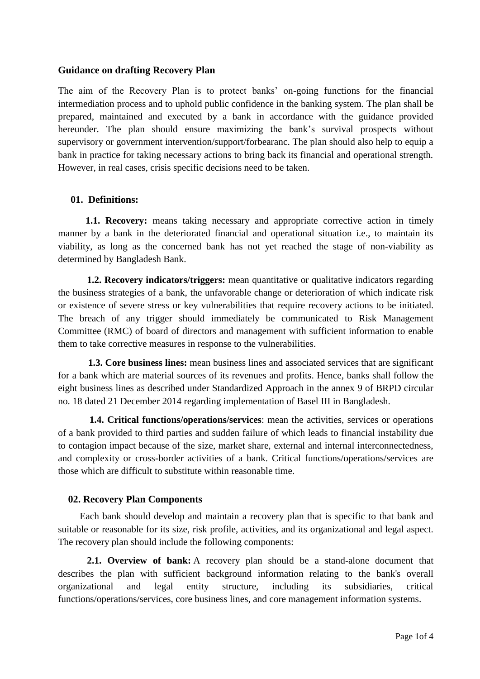### **Guidance on drafting Recovery Plan**

The aim of the Recovery Plan is to protect banks' on-going functions for the financial intermediation process and to uphold public confidence in the banking system. The plan shall be prepared, maintained and executed by a bank in accordance with the guidance provided hereunder. The plan should ensure maximizing the bank's survival prospects without supervisory or government intervention/support/forbearanc. The plan should also help to equip a bank in practice for taking necessary actions to bring back its financial and operational strength. However, in real cases, crisis specific decisions need to be taken.

### **01. Definitions:**

 **1.1. Recovery:** means taking necessary and appropriate corrective action in timely manner by a bank in the deteriorated financial and operational situation i.e., to maintain its viability, as long as the concerned bank has not yet reached the stage of non-viability as determined by Bangladesh Bank.

**1.2. Recovery indicators/triggers:** mean quantitative or qualitative indicators regarding the business strategies of a bank, the unfavorable change or deterioration of which indicate risk or existence of severe stress or key vulnerabilities that require recovery actions to be initiated. The breach of any trigger should immediately be communicated to Risk Management Committee (RMC) of board of directors and management with sufficient information to enable them to take corrective measures in response to the vulnerabilities.

 **1.3. Core business lines:** mean business lines and associated services that are significant for a bank which are material sources of its revenues and profits. Hence, banks shall follow the eight business lines as described under Standardized Approach in the annex 9 of BRPD circular no. 18 dated 21 December 2014 regarding implementation of Basel III in Bangladesh.

 **1.4. Critical functions/operations/services**: mean the activities, services or operations of a bank provided to third parties and sudden failure of which leads to financial instability due to contagion impact because of the size, market share, external and internal interconnectedness, and complexity or cross-border activities of a bank. Critical functions/operations/services are those which are difficult to substitute within reasonable time.

### **02. Recovery Plan Components**

 Each bank should develop and maintain a recovery plan that is specific to that bank and suitable or reasonable for its size, risk profile, activities, and its organizational and legal aspect. The recovery plan should include the following components:

**2.1. Overview of bank:** A recovery plan should be a stand-alone document that describes the plan with sufficient background information relating to the bank's overall organizational and legal entity structure, including its subsidiaries, critical functions/operations/services, core business lines, and core management information systems.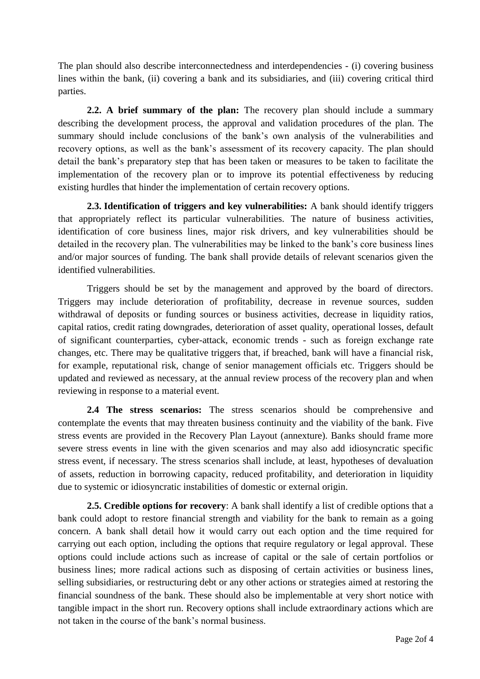The plan should also describe interconnectedness and interdependencies - (i) covering business lines within the bank, (ii) covering a bank and its subsidiaries, and (iii) covering critical third parties.

**2.2. A brief summary of the plan:** The recovery plan should include a summary describing the development process, the approval and validation procedures of the plan. The summary should include conclusions of the bank's own analysis of the vulnerabilities and recovery options, as well as the bank's assessment of its recovery capacity. The plan should detail the bank's preparatory step that has been taken or measures to be taken to facilitate the implementation of the recovery plan or to improve its potential effectiveness by reducing existing hurdles that hinder the implementation of certain recovery options.

**2.3. Identification of triggers and key vulnerabilities:** A bank should identify triggers that appropriately reflect its particular vulnerabilities. The nature of business activities, identification of core business lines, major risk drivers, and key vulnerabilities should be detailed in the recovery plan. The vulnerabilities may be linked to the bank's core business lines and/or major sources of funding. The bank shall provide details of relevant scenarios given the identified vulnerabilities.

Triggers should be set by the management and approved by the board of directors. Triggers may include deterioration of profitability, decrease in revenue sources, sudden withdrawal of deposits or funding sources or business activities, decrease in liquidity ratios, capital ratios, credit rating downgrades, deterioration of asset quality, operational losses, default of significant counterparties, cyber-attack, economic trends - such as foreign exchange rate changes, etc. There may be qualitative triggers that, if breached, bank will have a financial risk, for example, reputational risk, change of senior management officials etc. Triggers should be updated and reviewed as necessary, at the annual review process of the recovery plan and when reviewing in response to a material event.

**2.4 The stress scenarios:** The stress scenarios should be comprehensive and contemplate the events that may threaten business continuity and the viability of the bank. Five stress events are provided in the Recovery Plan Layout (annexture). Banks should frame more severe stress events in line with the given scenarios and may also add idiosyncratic specific stress event, if necessary. The stress scenarios shall include, at least, hypotheses of devaluation of assets, reduction in borrowing capacity, reduced profitability, and deterioration in liquidity due to systemic or idiosyncratic instabilities of domestic or external origin.

**2.5. Credible options for recovery**: A bank shall identify a list of credible options that a bank could adopt to restore financial strength and viability for the bank to remain as a going concern. A bank shall detail how it would carry out each option and the time required for carrying out each option, including the options that require regulatory or legal approval. These options could include actions such as increase of capital or the sale of certain portfolios or business lines; more radical actions such as disposing of certain activities or business lines, selling subsidiaries, or restructuring debt or any other actions or strategies aimed at restoring the financial soundness of the bank. These should also be implementable at very short notice with tangible impact in the short run. Recovery options shall include extraordinary actions which are not taken in the course of the bank's normal business.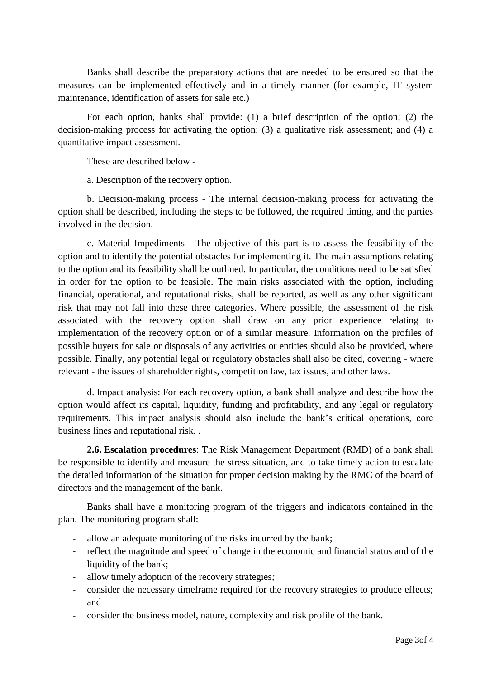Banks shall describe the preparatory actions that are needed to be ensured so that the measures can be implemented effectively and in a timely manner (for example, IT system maintenance, identification of assets for sale etc.)

For each option, banks shall provide: (1) a brief description of the option; (2) the decision-making process for activating the option; (3) a qualitative risk assessment; and (4) a quantitative impact assessment.

These are described below -

a. Description of the recovery option.

b. Decision-making process - The internal decision-making process for activating the option shall be described, including the steps to be followed, the required timing, and the parties involved in the decision.

 c. Material Impediments - The objective of this part is to assess the feasibility of the option and to identify the potential obstacles for implementing it. The main assumptions relating to the option and its feasibility shall be outlined. In particular, the conditions need to be satisfied in order for the option to be feasible. The main risks associated with the option, including financial, operational, and reputational risks, shall be reported, as well as any other significant risk that may not fall into these three categories. Where possible, the assessment of the risk associated with the recovery option shall draw on any prior experience relating to implementation of the recovery option or of a similar measure. Information on the profiles of possible buyers for sale or disposals of any activities or entities should also be provided, where possible. Finally, any potential legal or regulatory obstacles shall also be cited, covering - where relevant - the issues of shareholder rights, competition law, tax issues, and other laws.

d. Impact analysis: For each recovery option, a bank shall analyze and describe how the option would affect its capital, liquidity, funding and profitability, and any legal or regulatory requirements. This impact analysis should also include the bank's critical operations, core business lines and reputational risk. .

**2.6. Escalation procedures**: The Risk Management Department (RMD) of a bank shall be responsible to identify and measure the stress situation, and to take timely action to escalate the detailed information of the situation for proper decision making by the RMC of the board of directors and the management of the bank.

Banks shall have a monitoring program of the triggers and indicators contained in the plan. The monitoring program shall:

- allow an adequate monitoring of the risks incurred by the bank;
- reflect the magnitude and speed of change in the economic and financial status and of the liquidity of the bank;
- allow timely adoption of the recovery strategies*;*
- consider the necessary timeframe required for the recovery strategies to produce effects; and
- consider the business model, nature, complexity and risk profile of the bank.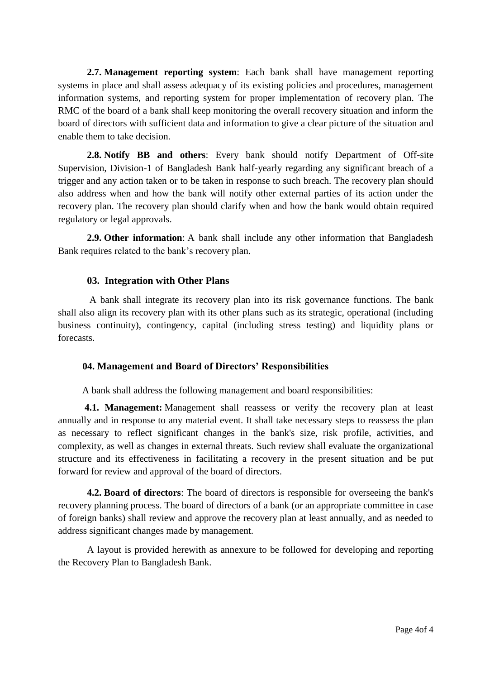**2.7. Management reporting system**: Each bank shall have management reporting systems in place and shall assess adequacy of its existing policies and procedures, management information systems, and reporting system for proper implementation of recovery plan. The RMC of the board of a bank shall keep monitoring the overall recovery situation and inform the board of directors with sufficient data and information to give a clear picture of the situation and enable them to take decision.

**2.8. Notify BB and others**: Every bank should notify Department of Off-site Supervision, Division-1 of Bangladesh Bank half-yearly regarding any significant breach of a trigger and any action taken or to be taken in response to such breach. The recovery plan should also address when and how the bank will notify other external parties of its action under the recovery plan. The recovery plan should clarify when and how the bank would obtain required regulatory or legal approvals.

 **2.9. Other information**: A bank shall include any other information that Bangladesh Bank requires related to the bank's recovery plan.

### **03. Integration with Other Plans**

 A bank shall integrate its recovery plan into its risk governance functions. The bank shall also align its recovery plan with its other plans such as its strategic, operational (including business continuity), contingency, capital (including stress testing) and liquidity plans or forecasts.

### **04. Management and Board of Directors' Responsibilities**

A bank shall address the following management and board responsibilities:

 **4.1. Management:** Management shall reassess or verify the recovery plan at least annually and in response to any material event. It shall take necessary steps to reassess the plan as necessary to reflect significant changes in the bank's size, risk profile, activities, and complexity, as well as changes in external threats. Such review shall evaluate the organizational structure and its effectiveness in facilitating a recovery in the present situation and be put forward for review and approval of the board of directors.

 **4.2. Board of directors**: The board of directors is responsible for overseeing the bank's recovery planning process. The board of directors of a bank (or an appropriate committee in case of foreign banks) shall review and approve the recovery plan at least annually, and as needed to address significant changes made by management.

A layout is provided herewith as annexure to be followed for developing and reporting the Recovery Plan to Bangladesh Bank.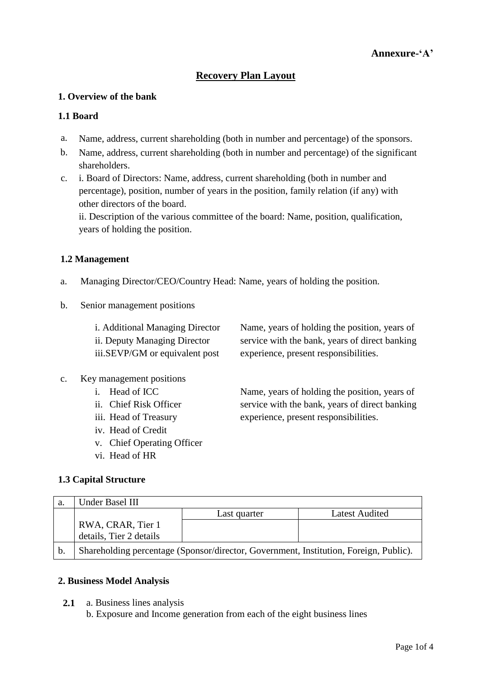# **Recovery Plan Layout**

## **1. Overview of the bank**

### **1.1 Board**

- a. Name, address, current shareholding (both in number and percentage) of the sponsors.
- b. Name, address, current shareholding (both in number and percentage) of the significant shareholders.
- c. i. Board of Directors: Name, address, current shareholding (both in number and percentage), position, number of years in the position, family relation (if any) with other directors of the board.

ii. Description of the various committee of the board: Name, position, qualification, years of holding the position.

### **1.2 Management**

- a. Managing Director/CEO/Country Head: Name, years of holding the position.
- b. Senior management positions

| <i>i.</i> Additional Managing Director | Name, years of holding the position, years of  |
|----------------------------------------|------------------------------------------------|
| ii. Deputy Managing Director           | service with the bank, years of direct banking |
| iii.SEVP/GM or equivalent post         | experience, present responsibilities.          |
|                                        |                                                |

Name, years of holding the position, years of service with the bank, years of direct banking

experience, present responsibilities.

- c. Key management positions
	- i. Head of ICC
	- ii. Chief Risk Officer
	- iii. Head of Treasury
	- iv. Head of Credit
	- v. Chief Operating Officer
	- vi. Head of HR

## **1.3 Capital Structure**

| a. | Under Basel III         |              |                                                                                       |
|----|-------------------------|--------------|---------------------------------------------------------------------------------------|
|    |                         | Last quarter | <b>Latest Audited</b>                                                                 |
|    | RWA, CRAR, Tier 1       |              |                                                                                       |
|    | details, Tier 2 details |              |                                                                                       |
| b. |                         |              | Shareholding percentage (Sponsor/director, Government, Institution, Foreign, Public). |

## **2. Business Model Analysis**

 **2.1** a. Business lines analysis

b. Exposure and Income generation from each of the eight business lines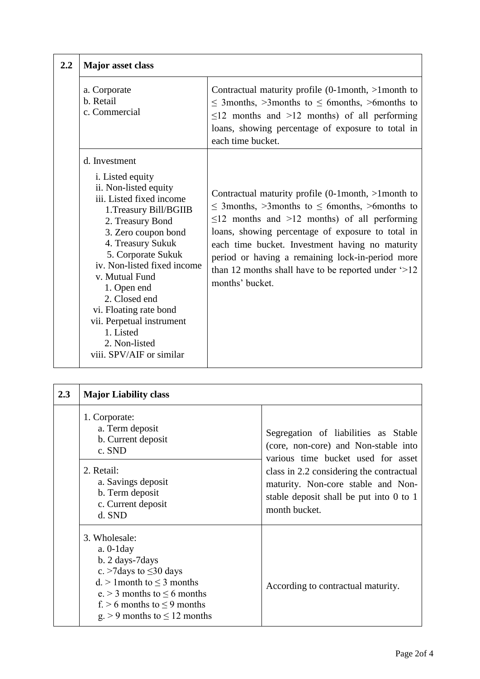| 2.2 | <b>Major</b> asset class                                                                                                                                                                                                                                                                                                                                                                                         |                                                                                                                                                                                                                                                                                                                                                                                                                              |
|-----|------------------------------------------------------------------------------------------------------------------------------------------------------------------------------------------------------------------------------------------------------------------------------------------------------------------------------------------------------------------------------------------------------------------|------------------------------------------------------------------------------------------------------------------------------------------------------------------------------------------------------------------------------------------------------------------------------------------------------------------------------------------------------------------------------------------------------------------------------|
|     | a. Corporate<br>b. Retail<br>c. Commercial                                                                                                                                                                                                                                                                                                                                                                       | Contractual maturity profile $(0{\text -}1$ month, ${\text -}1$ month to<br>$\leq$ 3months, $>$ 3months to $\leq$ 6months, $>$ 6months to<br>$\leq$ 12 months and >12 months) of all performing<br>loans, showing percentage of exposure to total in<br>each time bucket.                                                                                                                                                    |
|     | d. Investment<br><i>i</i> . Listed equity<br>ii. Non-listed equity<br>iii. Listed fixed income<br>1. Treasury Bill/BGIIB<br>2. Treasury Bond<br>3. Zero coupon bond<br>4. Treasury Sukuk<br>5. Corporate Sukuk<br>iv. Non-listed fixed income<br>v. Mutual Fund<br>1. Open end<br>2. Closed end<br>vi. Floating rate bond<br>vii. Perpetual instrument<br>1. Listed<br>2. Non-listed<br>viii. SPV/AIF or similar | Contractual maturity profile $(0{\text -}1$ month, $>1$ month to<br>$\leq$ 3months, >3months to $\leq$ 6months, >6months to<br>$\leq$ 12 months and >12 months) of all performing<br>loans, showing percentage of exposure to total in<br>each time bucket. Investment having no maturity<br>period or having a remaining lock-in-period more<br>than 12 months shall have to be reported under $\geq 12$<br>months' bucket. |

| 2.3 | <b>Major Liability class</b>                                                                                                                                                                                                       |                                                                                                                                                                                                                                                                  |  |
|-----|------------------------------------------------------------------------------------------------------------------------------------------------------------------------------------------------------------------------------------|------------------------------------------------------------------------------------------------------------------------------------------------------------------------------------------------------------------------------------------------------------------|--|
|     | 1. Corporate:<br>a. Term deposit<br>b. Current deposit<br>c. SND<br>2. Retail:<br>a. Savings deposit<br>b. Term deposit<br>c. Current deposit<br>d. SND                                                                            | Segregation of liabilities as Stable<br>(core, non-core) and Non-stable into<br>various time bucket used for asset<br>class in 2.2 considering the contractual<br>maturity. Non-core stable and Non-<br>stable deposit shall be put into 0 to 1<br>month bucket. |  |
|     | 3. Wholesale:<br>$a. 0-1day$<br>b. 2 days-7 days<br>c. >7 days to $\leq$ 30 days<br>$d.$ > 1 month to $\leq$ 3 months<br>e. > 3 months to $\leq$ 6 months<br>f. $> 6$ months to $< 9$ months<br>$g > 9$ months to $\leq 12$ months | According to contractual maturity.                                                                                                                                                                                                                               |  |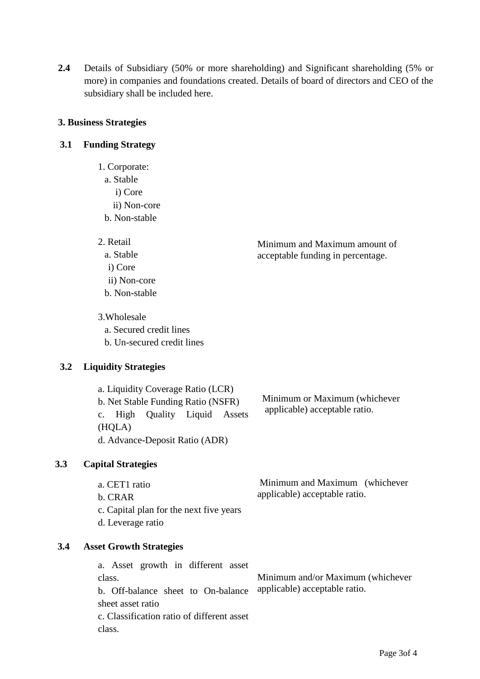**2.4** Details of Subsidiary (50% or more shareholding) and Significant shareholding (5% or more) in companies and foundations created. Details of board of directors and CEO of the subsidiary shall be included here.

### **3. Business Strategies**

### **3.1 Funding Strategy**

- 1. Corporate: a. Stable i) Core ii) Non-core b. Non-stable
- 2. Retail
	- a. Stable i) Core
	- ii) Non-core b. Non-stable
- 3.Wholesale
	- a. Secured credit lines
	- b. Un-secured credit lines

## **3.2 Liquidity Strategies**

a. Liquidity Coverage Ratio (LCR) b. Net Stable Funding Ratio (NSFR) c. High Quality Liquid Assets (HQLA) d. Advance-Deposit Ratio (ADR)

 Minimum or Maximum (whichever applicable) acceptable ratio.

Minimum and Maximum amount of acceptable funding in percentage.

## **3.3 Capital Strategies**

a. CET1 ratio b. CRAR c. Capital plan for the next five years d. Leverage ratio Minimum and Maximum (whichever applicable) acceptable ratio.

### **3.4 Asset Growth Strategies**

a. Asset growth in different asset class. b. Off-balance sheet to On-balance sheet asset ratio c. Classification ratio of different asset class. Minimum and/or Maximum (whichever applicable) acceptable ratio.